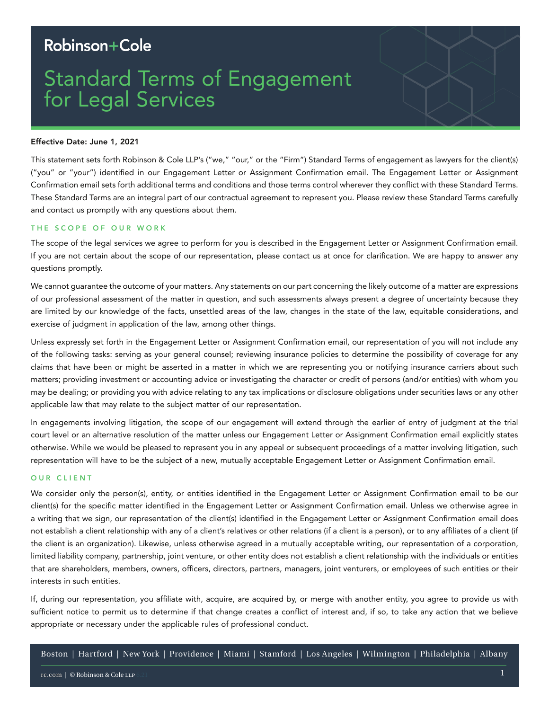# Robinson+Cole

# Standard Terms of Engagement for Legal Services

# Effective Date: June 1, 2021

This statement sets forth Robinson & Cole LLP's ("we," "our," or the "Firm") Standard Terms of engagement as lawyers for the client(s) ("you" or "your") identified in our Engagement Letter or Assignment Confirmation email. The Engagement Letter or Assignment Confirmation email sets forth additional terms and conditions and those terms control wherever they conflict with these Standard Terms. These Standard Terms are an integral part of our contractual agreement to represent you. Please review these Standard Terms carefully and contact us promptly with any questions about them.

# THE SCOPE OF OUR WORK

The scope of the legal services we agree to perform for you is described in the Engagement Letter or Assignment Confirmation email. If you are not certain about the scope of our representation, please contact us at once for clarification. We are happy to answer any questions promptly.

We cannot guarantee the outcome of your matters. Any statements on our part concerning the likely outcome of a matter are expressions of our professional assessment of the matter in question, and such assessments always present a degree of uncertainty because they are limited by our knowledge of the facts, unsettled areas of the law, changes in the state of the law, equitable considerations, and exercise of judgment in application of the law, among other things.

Unless expressly set forth in the Engagement Letter or Assignment Confirmation email, our representation of you will not include any of the following tasks: serving as your general counsel; reviewing insurance policies to determine the possibility of coverage for any claims that have been or might be asserted in a matter in which we are representing you or notifying insurance carriers about such matters; providing investment or accounting advice or investigating the character or credit of persons (and/or entities) with whom you may be dealing; or providing you with advice relating to any tax implications or disclosure obligations under securities laws or any other applicable law that may relate to the subject matter of our representation.

In engagements involving litigation, the scope of our engagement will extend through the earlier of entry of judgment at the trial court level or an alternative resolution of the matter unless our Engagement Letter or Assignment Confirmation email explicitly states otherwise. While we would be pleased to represent you in any appeal or subsequent proceedings of a matter involving litigation, such representation will have to be the subject of a new, mutually acceptable Engagement Letter or Assignment Confirmation email.

#### OUR CLIENT

We consider only the person(s), entity, or entities identified in the Engagement Letter or Assignment Confirmation email to be our client(s) for the specific matter identified in the Engagement Letter or Assignment Confirmation email. Unless we otherwise agree in a writing that we sign, our representation of the client(s) identified in the Engagement Letter or Assignment Confirmation email does not establish a client relationship with any of a client's relatives or other relations (if a client is a person), or to any affiliates of a client (if the client is an organization). Likewise, unless otherwise agreed in a mutually acceptable writing, our representation of a corporation, limited liability company, partnership, joint venture, or other entity does not establish a client relationship with the individuals or entities that are shareholders, members, owners, officers, directors, partners, managers, joint venturers, or employees of such entities or their interests in such entities.

If, during our representation, you affiliate with, acquire, are acquired by, or merge with another entity, you agree to provide us with sufficient notice to permit us to determine if that change creates a conflict of interest and, if so, to take any action that we believe appropriate or necessary under the applicable rules of professional conduct.

Boston | Hartford | New York | Providence | Miami | Stamford | Los Angeles | Wilmington | Philadelphia | Albany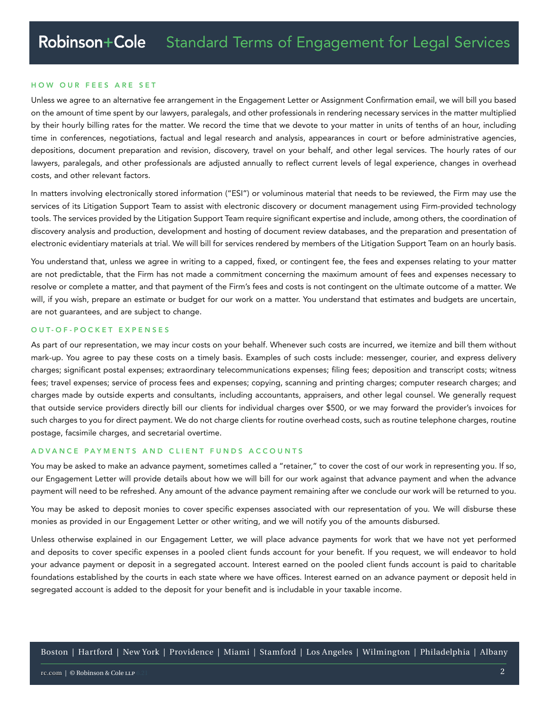#### HOW OUR FEES ARE SET

Unless we agree to an alternative fee arrangement in the Engagement Letter or Assignment Confirmation email, we will bill you based on the amount of time spent by our lawyers, paralegals, and other professionals in rendering necessary services in the matter multiplied by their hourly billing rates for the matter. We record the time that we devote to your matter in units of tenths of an hour, including time in conferences, negotiations, factual and legal research and analysis, appearances in court or before administrative agencies, depositions, document preparation and revision, discovery, travel on your behalf, and other legal services. The hourly rates of our lawyers, paralegals, and other professionals are adjusted annually to reflect current levels of legal experience, changes in overhead costs, and other relevant factors.

In matters involving electronically stored information ("ESI") or voluminous material that needs to be reviewed, the Firm may use the services of its Litigation Support Team to assist with electronic discovery or document management using Firm-provided technology tools. The services provided by the Litigation Support Team require significant expertise and include, among others, the coordination of discovery analysis and production, development and hosting of document review databases, and the preparation and presentation of electronic evidentiary materials at trial. We will bill for services rendered by members of the Litigation Support Team on an hourly basis.

You understand that, unless we agree in writing to a capped, fixed, or contingent fee, the fees and expenses relating to your matter are not predictable, that the Firm has not made a commitment concerning the maximum amount of fees and expenses necessary to resolve or complete a matter, and that payment of the Firm's fees and costs is not contingent on the ultimate outcome of a matter. We will, if you wish, prepare an estimate or budget for our work on a matter. You understand that estimates and budgets are uncertain, are not guarantees, and are subject to change.

# OUT-OF-POCKET EXPENSES

As part of our representation, we may incur costs on your behalf. Whenever such costs are incurred, we itemize and bill them without mark-up. You agree to pay these costs on a timely basis. Examples of such costs include: messenger, courier, and express delivery charges; significant postal expenses; extraordinary telecommunications expenses; filing fees; deposition and transcript costs; witness fees; travel expenses; service of process fees and expenses; copying, scanning and printing charges; computer research charges; and charges made by outside experts and consultants, including accountants, appraisers, and other legal counsel. We generally request that outside service providers directly bill our clients for individual charges over \$500, or we may forward the provider's invoices for such charges to you for direct payment. We do not charge clients for routine overhead costs, such as routine telephone charges, routine postage, facsimile charges, and secretarial overtime.

# ADVANCE PAYMENTS AND CLIENT FUNDS ACCOUNTS

You may be asked to make an advance payment, sometimes called a "retainer," to cover the cost of our work in representing you. If so, our Engagement Letter will provide details about how we will bill for our work against that advance payment and when the advance payment will need to be refreshed. Any amount of the advance payment remaining after we conclude our work will be returned to you.

You may be asked to deposit monies to cover specific expenses associated with our representation of you. We will disburse these monies as provided in our Engagement Letter or other writing, and we will notify you of the amounts disbursed.

Unless otherwise explained in our Engagement Letter, we will place advance payments for work that we have not yet performed and deposits to cover specific expenses in a pooled client funds account for your benefit. If you request, we will endeavor to hold your advance payment or deposit in a segregated account. Interest earned on the pooled client funds account is paid to charitable foundations established by the courts in each state where we have offices. Interest earned on an advance payment or deposit held in segregated account is added to the deposit for your benefit and is includable in your taxable income.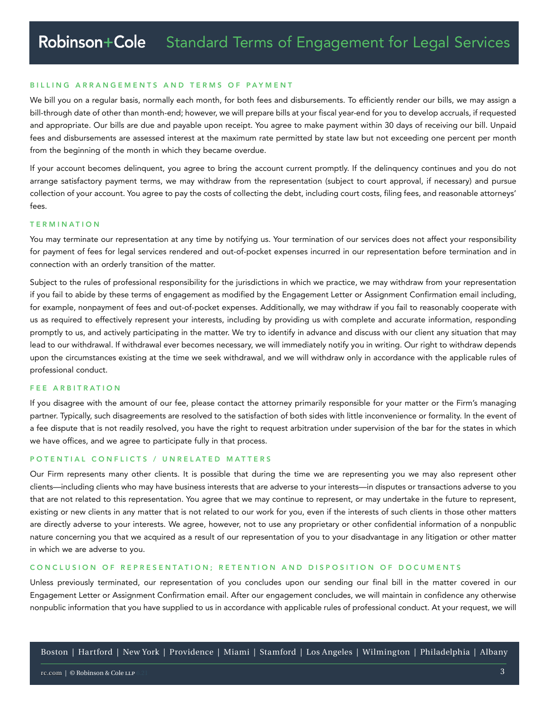#### BILLING ARRANGEMENTS AND TERMS OF PAYMENT

We bill you on a regular basis, normally each month, for both fees and disbursements. To efficiently render our bills, we may assign a bill-through date of other than month-end; however, we will prepare bills at your fiscal year-end for you to develop accruals, if requested and appropriate. Our bills are due and payable upon receipt. You agree to make payment within 30 days of receiving our bill. Unpaid fees and disbursements are assessed interest at the maximum rate permitted by state law but not exceeding one percent per month from the beginning of the month in which they became overdue.

If your account becomes delinquent, you agree to bring the account current promptly. If the delinquency continues and you do not arrange satisfactory payment terms, we may withdraw from the representation (subject to court approval, if necessary) and pursue collection of your account. You agree to pay the costs of collecting the debt, including court costs, filing fees, and reasonable attorneys' fees.

#### T E R M I N A T I O N

You may terminate our representation at any time by notifying us. Your termination of our services does not affect your responsibility for payment of fees for legal services rendered and out-of-pocket expenses incurred in our representation before termination and in connection with an orderly transition of the matter.

Subject to the rules of professional responsibility for the jurisdictions in which we practice, we may withdraw from your representation if you fail to abide by these terms of engagement as modified by the Engagement Letter or Assignment Confirmation email including, for example, nonpayment of fees and out-of-pocket expenses. Additionally, we may withdraw if you fail to reasonably cooperate with us as required to effectively represent your interests, including by providing us with complete and accurate information, responding promptly to us, and actively participating in the matter. We try to identify in advance and discuss with our client any situation that may lead to our withdrawal. If withdrawal ever becomes necessary, we will immediately notify you in writing. Our right to withdraw depends upon the circumstances existing at the time we seek withdrawal, and we will withdraw only in accordance with the applicable rules of professional conduct.

#### FEE ARBITRATION

If you disagree with the amount of our fee, please contact the attorney primarily responsible for your matter or the Firm's managing partner. Typically, such disagreements are resolved to the satisfaction of both sides with little inconvenience or formality. In the event of a fee dispute that is not readily resolved, you have the right to request arbitration under supervision of the bar for the states in which we have offices, and we agree to participate fully in that process.

#### POTENTIAL CONFLICTS / UNRELATED MATTERS

Our Firm represents many other clients. It is possible that during the time we are representing you we may also represent other clients—including clients who may have business interests that are adverse to your interests—in disputes or transactions adverse to you that are not related to this representation. You agree that we may continue to represent, or may undertake in the future to represent, existing or new clients in any matter that is not related to our work for you, even if the interests of such clients in those other matters are directly adverse to your interests. We agree, however, not to use any proprietary or other confidential information of a nonpublic nature concerning you that we acquired as a result of our representation of you to your disadvantage in any litigation or other matter in which we are adverse to you.

# CONCLUSION OF REPRESENTATION; RETENTION AND DISPOSITION OF DOCUMENTS

Unless previously terminated, our representation of you concludes upon our sending our final bill in the matter covered in our Engagement Letter or Assignment Confirmation email. After our engagement concludes, we will maintain in confidence any otherwise nonpublic information that you have supplied to us in accordance with applicable rules of professional conduct. At your request, we will